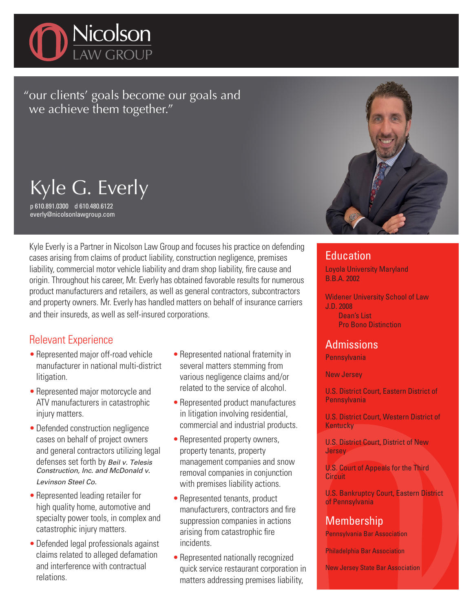

"our clients' goals become our goals and we achieve them together."

Kyle G. Everly

p 610.891.0300 d 610.480.6122 everly@nicolsonlawgroup.com

Kyle Everly is a Partner in Nicolson Law Group and focuses his practice on defending cases arising from claims of product liability, construction negligence, premises liability, commercial motor vehicle liability and dram shop liability, fire cause and origin. Throughout his career, Mr. Everly has obtained favorable results for numerous product manufacturers and retailers, as well as general contractors, subcontractors and property owners. Mr. Everly has handled matters on behalf of insurance carriers and their insureds, as well as self-insured corporations.

### Relevant Experience

- Represented major off-road vehicle manufacturer in national multi-district litigation.
- Represented major motorcycle and ATV manufacturers in catastrophic injury matters.
- •Defended construction negligence cases on behalf of project owners and general contractors utilizing legal defenses set forth by Beil v. Telesis Construction, Inc. and McDonald v. Levinson Steel Co.
- •Represented leading retailer for high quality home, automotive and specialty power tools, in complex and catastrophic injury matters.
- •Defended legal professionals against claims related to alleged defamation and interference with contractual relations.
- Represented national fraternity in several matters stemming from various negligence claims and/or related to the service of alcohol.
- Represented product manufactures in litigation involving residential, commercial and industrial products.
- Represented property owners, property tenants, property management companies and snow removal companies in conjunction with premises liability actions.
- Represented tenants, product manufacturers, contractors and fire suppression companies in actions arising from catastrophic fire incidents.
- Represented nationally recognized quick service restaurant corporation in matters addressing premises liability,



#### **Education**

Loyola University Maryland B.B.A. 2002

Widener University School of Law J.D. 2008 Dean's List Pro Bono Distinction

## Admissions

**Pennsylvania** 

New Jersey

U.S. District Court, Eastern District of **Pennsylvania** 

U.S. District Court, Western District of **Kentucky** 

U.S. District Court, District of New **Jersey** 

U.S. Court of Appeals for the Third **Circuit** 

U.S. Bankruptcy Court, Eastern District of Pennsylvania

# Membership

Pennsylvania Bar Association

Philadelphia Bar Association

New Jersey State Bar Association